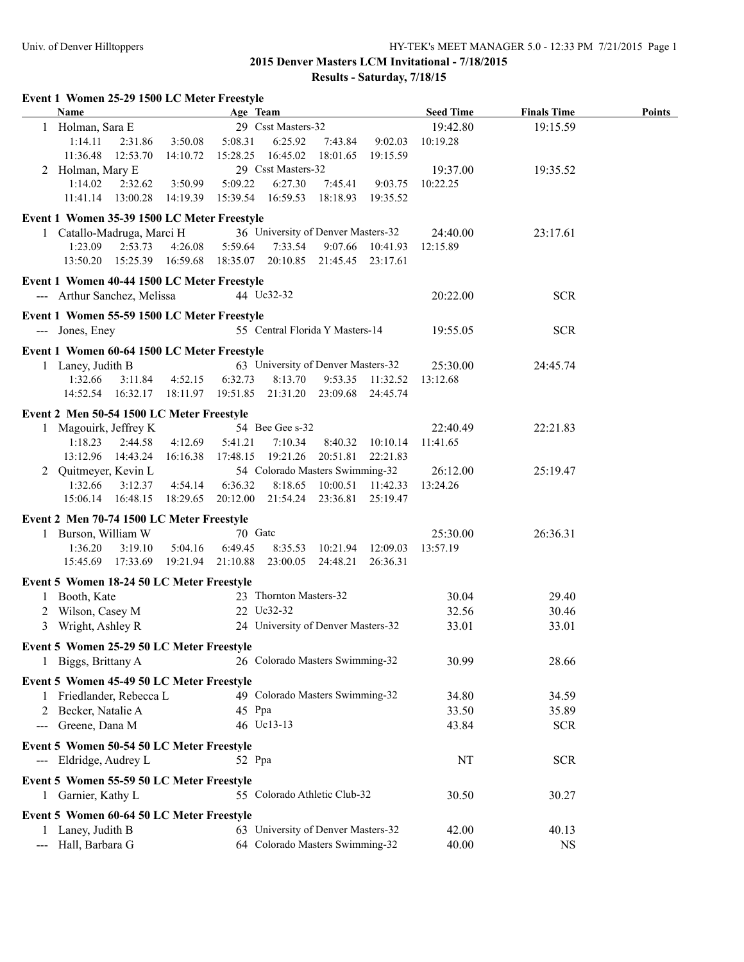|                                          | Event 1 Women 25-29 1500 LC Meter Freestyle<br>Name                        |                   | Age Team          |                        |                                    |                  | <b>Seed Time</b> | <b>Finals Time</b> |               |
|------------------------------------------|----------------------------------------------------------------------------|-------------------|-------------------|------------------------|------------------------------------|------------------|------------------|--------------------|---------------|
|                                          | 1 Holman, Sara E                                                           |                   |                   | 29 Csst Masters-32     |                                    |                  | 19:42.80         | 19:15.59           | <b>Points</b> |
|                                          | 1:14.11<br>2:31.86                                                         | 3:50.08           | 5:08.31           | 6:25.92                | 7:43.84                            | 9:02.03          | 10:19.28         |                    |               |
|                                          | 11:36.48<br>12:53.70                                                       | 14:10.72          | 15:28.25          | 16:45.02               | 18:01.65                           | 19:15.59         |                  |                    |               |
|                                          | 2 Holman, Mary E                                                           |                   |                   | 29 Csst Masters-32     |                                    |                  | 19:37.00         | 19:35.52           |               |
|                                          | 1:14.02<br>2:32.62                                                         | 3:50.99           | 5:09.22           | 6:27.30                | 7:45.41                            | 9:03.75          | 10:22.25         |                    |               |
|                                          | 11:41.14  13:00.28                                                         | 14:19.39          | 15:39.54          | 16:59.53               | 18:18.93                           | 19:35.52         |                  |                    |               |
|                                          | Event 1 Women 35-39 1500 LC Meter Freestyle                                |                   |                   |                        |                                    |                  |                  |                    |               |
|                                          | 1 Catallo-Madruga, Marci H                                                 |                   |                   |                        | 36 University of Denver Masters-32 |                  | 24:40.00         | 23:17.61           |               |
|                                          | 1:23.09<br>2:53.73                                                         | 4:26.08           | 5:59.64           | 7:33.54                | 9:07.66                            | 10:41.93         | 12:15.89         |                    |               |
|                                          | 13:50.20  15:25.39  16:59.68  18:35.07  20:10.85  21:45.45  23:17.61       |                   |                   |                        |                                    |                  |                  |                    |               |
|                                          |                                                                            |                   |                   |                        |                                    |                  |                  |                    |               |
|                                          | Event 1 Women 40-44 1500 LC Meter Freestyle<br>--- Arthur Sanchez, Melissa |                   |                   | 44 Uc32-32             |                                    |                  | 20:22.00         | <b>SCR</b>         |               |
|                                          |                                                                            |                   |                   |                        |                                    |                  |                  |                    |               |
|                                          | Event 1 Women 55-59 1500 LC Meter Freestyle                                |                   |                   |                        |                                    |                  |                  |                    |               |
|                                          | --- Jones, Eney                                                            |                   |                   |                        | 55 Central Florida Y Masters-14    |                  | 19:55.05         | <b>SCR</b>         |               |
|                                          | Event 1 Women 60-64 1500 LC Meter Freestyle                                |                   |                   |                        |                                    |                  |                  |                    |               |
|                                          | 1 Laney, Judith B                                                          |                   |                   |                        | 63 University of Denver Masters-32 |                  | 25:30.00         | 24:45.74           |               |
|                                          | 1:32.66<br>3:11.84                                                         | 4:52.15           | 6:32.73           | 8:13.70                |                                    | 9:53.35 11:32.52 | 13:12.68         |                    |               |
|                                          | 14:52.54  16:32.17  18:11.97  19:51.85                                     |                   |                   |                        | 21:31.20 23:09.68                  | 24:45.74         |                  |                    |               |
|                                          | Event 2 Men 50-54 1500 LC Meter Freestyle                                  |                   |                   |                        |                                    |                  |                  |                    |               |
|                                          | 1 Magouirk, Jeffrey K                                                      |                   |                   | 54 Bee Gee s-32        |                                    |                  | 22:40.49         | 22:21.83           |               |
|                                          | 1:18.23<br>2:44.58                                                         | 4:12.69           | 5:41.21           | 7:10.34                | 8:40.32                            | 10:10.14         | 11:41.65         |                    |               |
|                                          | 13:12.96<br>14:43.24                                                       | 16:16.38          | 17:48.15          | 19:21.26               | 20:51.81                           | 22:21.83         |                  |                    |               |
|                                          | 2 Quitmeyer, Kevin L                                                       |                   |                   |                        | 54 Colorado Masters Swimming-32    |                  | 26:12.00         | 25:19.47           |               |
|                                          | 1:32.66<br>3:12.37                                                         | 4:54.14           | 6:36.32           | 8:18.65                | 10:00.51                           | 11:42.33         | 13:24.26         |                    |               |
|                                          | 15:06.14<br>16:48.15                                                       | 18:29.65          | 20:12.00 21:54.24 |                        | 23:36.81                           | 25:19.47         |                  |                    |               |
|                                          | Event 2 Men 70-74 1500 LC Meter Freestyle                                  |                   |                   |                        |                                    |                  |                  |                    |               |
|                                          | 1 Burson, William W                                                        |                   | 70 Gate           |                        |                                    |                  | 25:30.00         | 26:36.31           |               |
|                                          | 1:36.20<br>3:19.10                                                         | 5:04.16           | 6:49.45           |                        | 8:35.53 10:21.94 12:09.03          |                  | 13:57.19         |                    |               |
|                                          | 15:45.69 17:33.69                                                          | 19:21.94 21:10.88 |                   | 23:00.05               | 24:48.21                           | 26:36.31         |                  |                    |               |
|                                          | Event 5 Women 18-24 50 LC Meter Freestyle                                  |                   |                   |                        |                                    |                  |                  |                    |               |
|                                          | 1 Booth, Kate                                                              |                   |                   | 23 Thornton Masters-32 |                                    |                  | 30.04            | 29.40              |               |
|                                          | 2 Wilson, Casey M                                                          |                   |                   | 22 Uc32-32             |                                    |                  | 32.56            | 30.46              |               |
|                                          | 3 Wright, Ashley R                                                         |                   |                   |                        | 24 University of Denver Masters-32 |                  | 33.01            | 33.01              |               |
|                                          |                                                                            |                   |                   |                        |                                    |                  |                  |                    |               |
|                                          | Event 5 Women 25-29 50 LC Meter Freestyle                                  |                   |                   |                        |                                    |                  |                  |                    |               |
|                                          | 1 Biggs, Brittany A                                                        |                   |                   |                        | 26 Colorado Masters Swimming-32    |                  | 30.99            | 28.66              |               |
|                                          | Event 5 Women 45-49 50 LC Meter Freestyle                                  |                   |                   |                        |                                    |                  |                  |                    |               |
|                                          | 1 Friedlander, Rebecca L                                                   |                   |                   |                        | 49 Colorado Masters Swimming-32    |                  | 34.80            | 34.59              |               |
|                                          | 2 Becker, Natalie A                                                        |                   | 45 Ppa            |                        |                                    |                  | 33.50            | 35.89              |               |
| $\hspace{0.05cm} \ldots \hspace{0.05cm}$ | Greene, Dana M                                                             |                   |                   | 46 Uc13-13             |                                    |                  | 43.84            | <b>SCR</b>         |               |
|                                          | Event 5 Women 50-54 50 LC Meter Freestyle                                  |                   |                   |                        |                                    |                  |                  |                    |               |
|                                          | --- Eldridge, Audrey L                                                     |                   | 52 Ppa            |                        |                                    |                  | NT               | <b>SCR</b>         |               |
|                                          |                                                                            |                   |                   |                        |                                    |                  |                  |                    |               |
|                                          | Event 5 Women 55-59 50 LC Meter Freestyle                                  |                   |                   |                        |                                    |                  |                  |                    |               |
|                                          | 1 Garnier, Kathy L                                                         |                   |                   |                        | 55 Colorado Athletic Club-32       |                  | 30.50            | 30.27              |               |
|                                          | Event 5 Women 60-64 50 LC Meter Freestyle                                  |                   |                   |                        |                                    |                  |                  |                    |               |
|                                          | 1 Laney, Judith B                                                          |                   |                   |                        | 63 University of Denver Masters-32 |                  | 42.00            | 40.13              |               |
|                                          | --- Hall, Barbara G                                                        |                   |                   |                        | 64 Colorado Masters Swimming-32    |                  | 40.00            | <b>NS</b>          |               |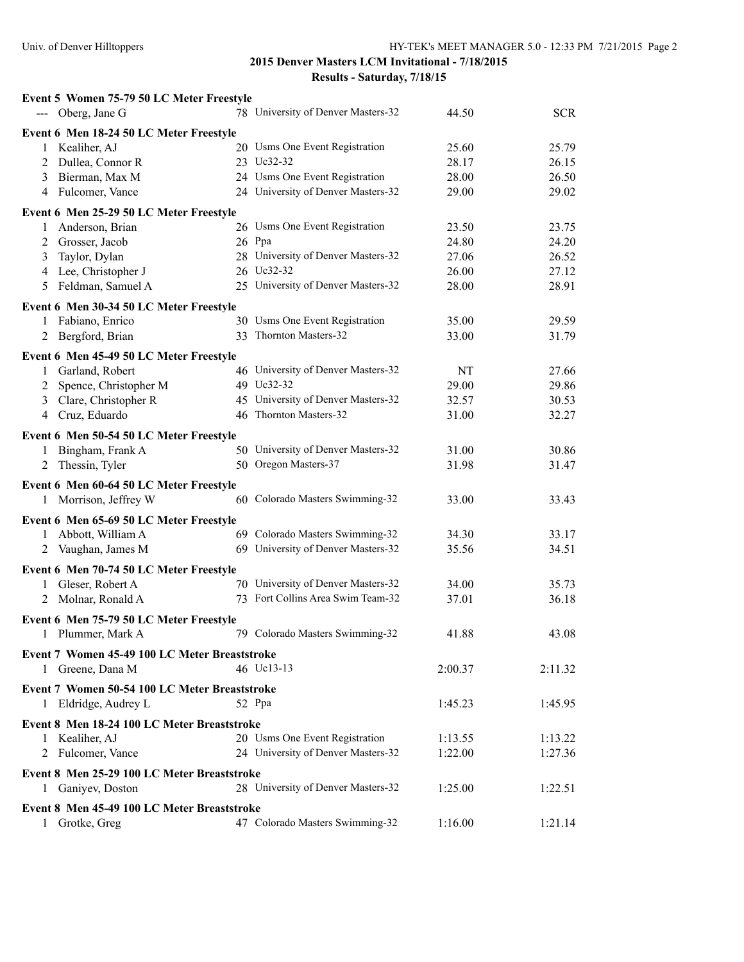| Event 5 Women 75-79 50 LC Meter Freestyle     |                                    |         |            |
|-----------------------------------------------|------------------------------------|---------|------------|
| --- Oberg, Jane G                             | 78 University of Denver Masters-32 | 44.50   | <b>SCR</b> |
| Event 6 Men 18-24 50 LC Meter Freestyle       |                                    |         |            |
| Kealiher, AJ<br>1                             | 20 Usms One Event Registration     | 25.60   | 25.79      |
| 2 Dullea, Connor R                            | 23 Uc32-32                         | 28.17   | 26.15      |
| Bierman, Max M<br>3                           | 24 Usms One Event Registration     | 28.00   | 26.50      |
| Fulcomer, Vance<br>4                          | 24 University of Denver Masters-32 | 29.00   | 29.02      |
| Event 6 Men 25-29 50 LC Meter Freestyle       |                                    |         |            |
| Anderson, Brian<br>1                          | 26 Usms One Event Registration     | 23.50   | 23.75      |
| Grosser, Jacob<br>2                           | 26 Ppa                             | 24.80   | 24.20      |
| 3<br>Taylor, Dylan                            | 28 University of Denver Masters-32 | 27.06   | 26.52      |
| Lee, Christopher J<br>4                       | 26 Uc32-32                         | 26.00   | 27.12      |
| 5<br>Feldman, Samuel A                        | 25 University of Denver Masters-32 | 28.00   | 28.91      |
| Event 6 Men 30-34 50 LC Meter Freestyle       |                                    |         |            |
| 1 Fabiano, Enrico                             | 30 Usms One Event Registration     | 35.00   | 29.59      |
| Bergford, Brian<br>2                          | 33 Thornton Masters-32             | 33.00   | 31.79      |
| Event 6 Men 45-49 50 LC Meter Freestyle       |                                    |         |            |
| Garland, Robert<br>1                          | 46 University of Denver Masters-32 | NT      | 27.66      |
| 2 Spence, Christopher M                       | 49 Uc32-32                         | 29.00   | 29.86      |
| Clare, Christopher R<br>3                     | 45 University of Denver Masters-32 | 32.57   | 30.53      |
| Cruz, Eduardo<br>4                            | 46 Thornton Masters-32             | 31.00   | 32.27      |
| Event 6 Men 50-54 50 LC Meter Freestyle       |                                    |         |            |
| Bingham, Frank A<br>1                         | 50 University of Denver Masters-32 | 31.00   | 30.86      |
| Thessin, Tyler<br>2                           | 50 Oregon Masters-37               | 31.98   | 31.47      |
| Event 6 Men 60-64 50 LC Meter Freestyle       |                                    |         |            |
| 1 Morrison, Jeffrey W                         | 60 Colorado Masters Swimming-32    | 33.00   | 33.43      |
| Event 6 Men 65-69 50 LC Meter Freestyle       |                                    |         |            |
| Abbott, William A<br>$\mathbf{1}$             | 69 Colorado Masters Swimming-32    | 34.30   | 33.17      |
| 2 Vaughan, James M                            | 69 University of Denver Masters-32 | 35.56   | 34.51      |
|                                               |                                    |         |            |
| Event 6 Men 70-74 50 LC Meter Freestyle       | 70 University of Denver Masters-32 | 34.00   | 35.73      |
| Gleser, Robert A<br>1<br>Molnar, Ronald A     | 73 Fort Collins Area Swim Team-32  | 37.01   | 36.18      |
| 2                                             |                                    |         |            |
| Event 6 Men 75-79 50 LC Meter Freestyle       |                                    |         |            |
| 1 Plummer, Mark A                             | 79 Colorado Masters Swimming-32    | 41.88   | 43.08      |
| Event 7 Women 45-49 100 LC Meter Breaststroke |                                    |         |            |
| 1 Greene, Dana M                              | 46 Uc13-13                         | 2:00.37 | 2:11.32    |
| Event 7 Women 50-54 100 LC Meter Breaststroke |                                    |         |            |
| 1 Eldridge, Audrey L                          | 52 Ppa                             | 1:45.23 | 1:45.95    |
| Event 8 Men 18-24 100 LC Meter Breaststroke   |                                    |         |            |
| 1 Kealiher, AJ                                | 20 Usms One Event Registration     | 1:13.55 | 1:13.22    |
| 2 Fulcomer, Vance                             | 24 University of Denver Masters-32 | 1:22.00 | 1:27.36    |
| Event 8 Men 25-29 100 LC Meter Breaststroke   |                                    |         |            |
| Ganiyev, Doston<br>1                          | 28 University of Denver Masters-32 | 1:25.00 | 1:22.51    |
|                                               |                                    |         |            |
| Event 8 Men 45-49 100 LC Meter Breaststroke   |                                    |         |            |
| Grotke, Greg                                  | 47 Colorado Masters Swimming-32    | 1:16.00 | 1:21.14    |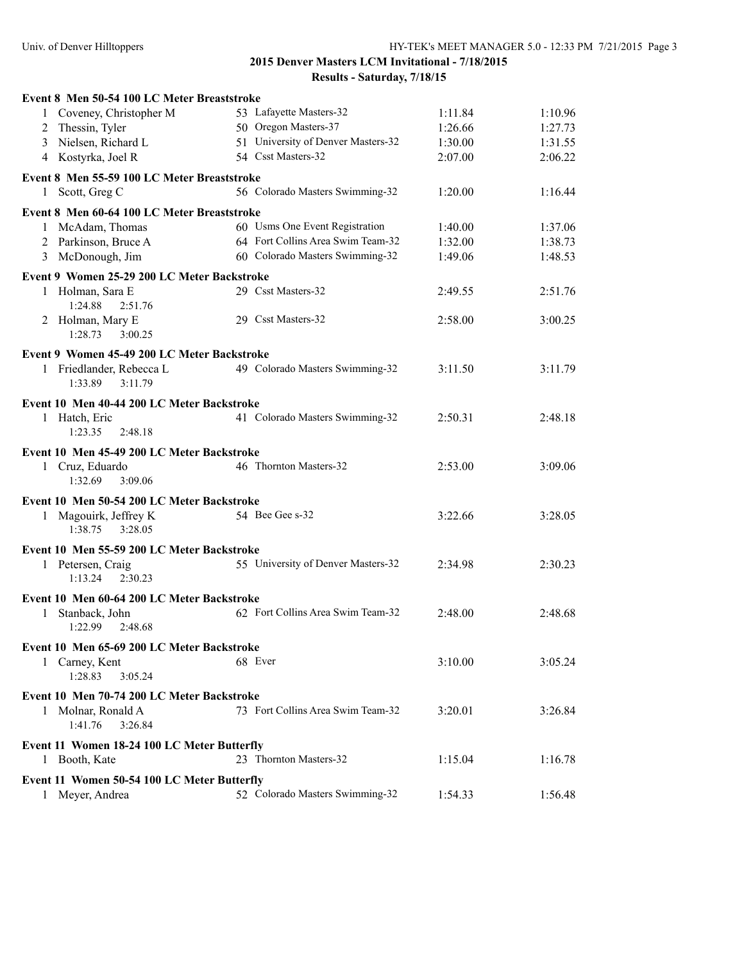| Event 8 Men 50-54 100 LC Meter Breaststroke                  |                                    |         |         |
|--------------------------------------------------------------|------------------------------------|---------|---------|
| 1 Coveney, Christopher M                                     | 53 Lafayette Masters-32            | 1:11.84 | 1:10.96 |
| 2 Thessin, Tyler                                             | 50 Oregon Masters-37               | 1:26.66 | 1:27.73 |
| 3 Nielsen, Richard L                                         | 51 University of Denver Masters-32 | 1:30.00 | 1:31.55 |
| 4 Kostyrka, Joel R                                           | 54 Csst Masters-32                 | 2:07.00 | 2:06.22 |
| Event 8 Men 55-59 100 LC Meter Breaststroke                  |                                    |         |         |
| 1 Scott, Greg C                                              | 56 Colorado Masters Swimming-32    | 1:20.00 | 1:16.44 |
| Event 8 Men 60-64 100 LC Meter Breaststroke                  |                                    |         |         |
| 1 McAdam, Thomas                                             | 60 Usms One Event Registration     | 1:40.00 | 1:37.06 |
| 2 Parkinson, Bruce A                                         | 64 Fort Collins Area Swim Team-32  | 1:32.00 | 1:38.73 |
| 3 McDonough, Jim                                             | 60 Colorado Masters Swimming-32    | 1:49.06 | 1:48.53 |
| Event 9 Women 25-29 200 LC Meter Backstroke                  |                                    |         |         |
| 1 Holman, Sara E                                             | 29 Csst Masters-32                 | 2:49.55 | 2:51.76 |
| 1:24.88<br>2:51.76                                           |                                    |         |         |
| 2 Holman, Mary E                                             | 29 Csst Masters-32                 | 2:58.00 | 3:00.25 |
| 1:28.73<br>3:00.25                                           |                                    |         |         |
| Event 9 Women 45-49 200 LC Meter Backstroke                  |                                    |         |         |
| 1 Friedlander, Rebecca L                                     | 49 Colorado Masters Swimming-32    | 3:11.50 | 3:11.79 |
| 1:33.89<br>3:11.79                                           |                                    |         |         |
| Event 10 Men 40-44 200 LC Meter Backstroke                   |                                    |         |         |
| 1 Hatch, Eric                                                | 41 Colorado Masters Swimming-32    | 2:50.31 | 2:48.18 |
| 1:23.35<br>2:48.18                                           |                                    |         |         |
| Event 10 Men 45-49 200 LC Meter Backstroke                   |                                    |         |         |
| 1 Cruz, Eduardo                                              | 46 Thornton Masters-32             | 2:53.00 | 3:09.06 |
| 1:32.69<br>3:09.06                                           |                                    |         |         |
| Event 10 Men 50-54 200 LC Meter Backstroke                   |                                    |         |         |
| 1 Magouirk, Jeffrey K                                        | 54 Bee Gee s-32                    | 3:22.66 | 3:28.05 |
| 1:38.75<br>3:28.05                                           |                                    |         |         |
| Event 10 Men 55-59 200 LC Meter Backstroke                   |                                    |         |         |
| 1 Petersen, Craig                                            | 55 University of Denver Masters-32 | 2:34.98 | 2:30.23 |
| 2:30.23<br>1:13.24                                           |                                    |         |         |
| Event 10 Men 60-64 200 LC Meter Backstroke                   |                                    |         |         |
| Stanback, John<br>1                                          | 62 Fort Collins Area Swim Team-32  | 2:48.00 | 2:48.68 |
| 1:22.99<br>2:48.68                                           |                                    |         |         |
|                                                              |                                    |         |         |
| Event 10 Men 65-69 200 LC Meter Backstroke<br>1 Carney, Kent | 68 Ever                            |         | 3:05.24 |
| 1:28.83<br>3:05.24                                           |                                    | 3:10.00 |         |
|                                                              |                                    |         |         |
| Event 10 Men 70-74 200 LC Meter Backstroke                   |                                    |         |         |
| 1 Molnar, Ronald A<br>1:41.76                                | 73 Fort Collins Area Swim Team-32  | 3:20.01 | 3:26.84 |
| 3:26.84                                                      |                                    |         |         |
| Event 11 Women 18-24 100 LC Meter Butterfly                  |                                    |         |         |
| 1 Booth, Kate                                                | 23 Thornton Masters-32             | 1:15.04 | 1:16.78 |
| Event 11 Women 50-54 100 LC Meter Butterfly                  |                                    |         |         |
| 1 Meyer, Andrea                                              | 52 Colorado Masters Swimming-32    | 1:54.33 | 1:56.48 |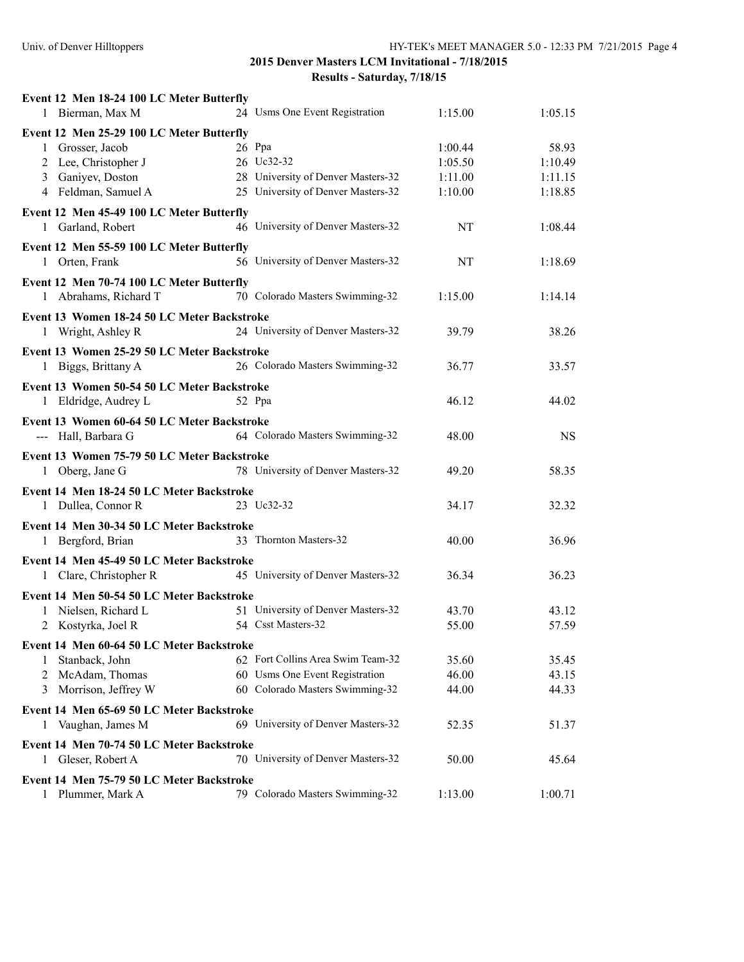| Event 12 Men 18-24 100 LC Meter Butterfly   |                                    |         |           |
|---------------------------------------------|------------------------------------|---------|-----------|
| 1 Bierman, Max M                            | 24 Usms One Event Registration     | 1:15.00 | 1:05.15   |
| Event 12 Men 25-29 100 LC Meter Butterfly   |                                    |         |           |
| 1 Grosser, Jacob                            | 26 Ppa                             | 1:00.44 | 58.93     |
| 2 Lee, Christopher J                        | 26 Uc32-32                         | 1:05.50 | 1:10.49   |
| 3 Ganiyev, Doston                           | 28 University of Denver Masters-32 | 1:11.00 | 1:11.15   |
| 4 Feldman, Samuel A                         | 25 University of Denver Masters-32 | 1:10.00 | 1:18.85   |
| Event 12 Men 45-49 100 LC Meter Butterfly   |                                    |         |           |
| 1 Garland, Robert                           | 46 University of Denver Masters-32 | NT      | 1:08.44   |
| Event 12 Men 55-59 100 LC Meter Butterfly   |                                    |         |           |
| 1 Orten, Frank                              | 56 University of Denver Masters-32 | NT      | 1:18.69   |
| Event 12 Men 70-74 100 LC Meter Butterfly   |                                    |         |           |
| 1 Abrahams, Richard T                       | 70 Colorado Masters Swimming-32    | 1:15.00 | 1:14.14   |
| Event 13 Women 18-24 50 LC Meter Backstroke |                                    |         |           |
| 1 Wright, Ashley R                          | 24 University of Denver Masters-32 | 39.79   | 38.26     |
| Event 13 Women 25-29 50 LC Meter Backstroke |                                    |         |           |
| 1 Biggs, Brittany A                         | 26 Colorado Masters Swimming-32    | 36.77   | 33.57     |
|                                             |                                    |         |           |
| Event 13 Women 50-54 50 LC Meter Backstroke |                                    |         |           |
| 1 Eldridge, Audrey L                        | 52 Ppa                             | 46.12   | 44.02     |
| Event 13 Women 60-64 50 LC Meter Backstroke |                                    |         |           |
| --- Hall, Barbara G                         | 64 Colorado Masters Swimming-32    | 48.00   | <b>NS</b> |
| Event 13 Women 75-79 50 LC Meter Backstroke |                                    |         |           |
| 1 Oberg, Jane G                             | 78 University of Denver Masters-32 | 49.20   | 58.35     |
| Event 14 Men 18-24 50 LC Meter Backstroke   |                                    |         |           |
| 1 Dullea, Connor R                          | 23 Uc32-32                         | 34.17   | 32.32     |
| Event 14 Men 30-34 50 LC Meter Backstroke   |                                    |         |           |
|                                             |                                    |         |           |
|                                             | 33 Thornton Masters-32             |         |           |
| 1 Bergford, Brian                           |                                    | 40.00   | 36.96     |
| Event 14 Men 45-49 50 LC Meter Backstroke   |                                    |         |           |
| 1 Clare, Christopher R                      | 45 University of Denver Masters-32 | 36.34   | 36.23     |
| Event 14 Men 50-54 50 LC Meter Backstroke   |                                    |         |           |
| 1 Nielsen, Richard L                        | 51 University of Denver Masters-32 | 43.70   | 43.12     |
| Kostyrka, Joel R<br>2                       | 54 Csst Masters-32                 | 55.00   | 57.59     |
| Event 14 Men 60-64 50 LC Meter Backstroke   |                                    |         |           |
| Stanback, John<br>1                         | 62 Fort Collins Area Swim Team-32  | 35.60   | 35.45     |
| McAdam, Thomas<br>2                         | 60 Usms One Event Registration     | 46.00   | 43.15     |
| Morrison, Jeffrey W<br>3                    | 60 Colorado Masters Swimming-32    | 44.00   | 44.33     |
| Event 14 Men 65-69 50 LC Meter Backstroke   |                                    |         |           |
| Vaughan, James M<br>1                       | 69 University of Denver Masters-32 | 52.35   | 51.37     |
| Event 14 Men 70-74 50 LC Meter Backstroke   |                                    |         |           |
| 1 Gleser, Robert A                          | 70 University of Denver Masters-32 | 50.00   | 45.64     |
| Event 14 Men 75-79 50 LC Meter Backstroke   |                                    |         |           |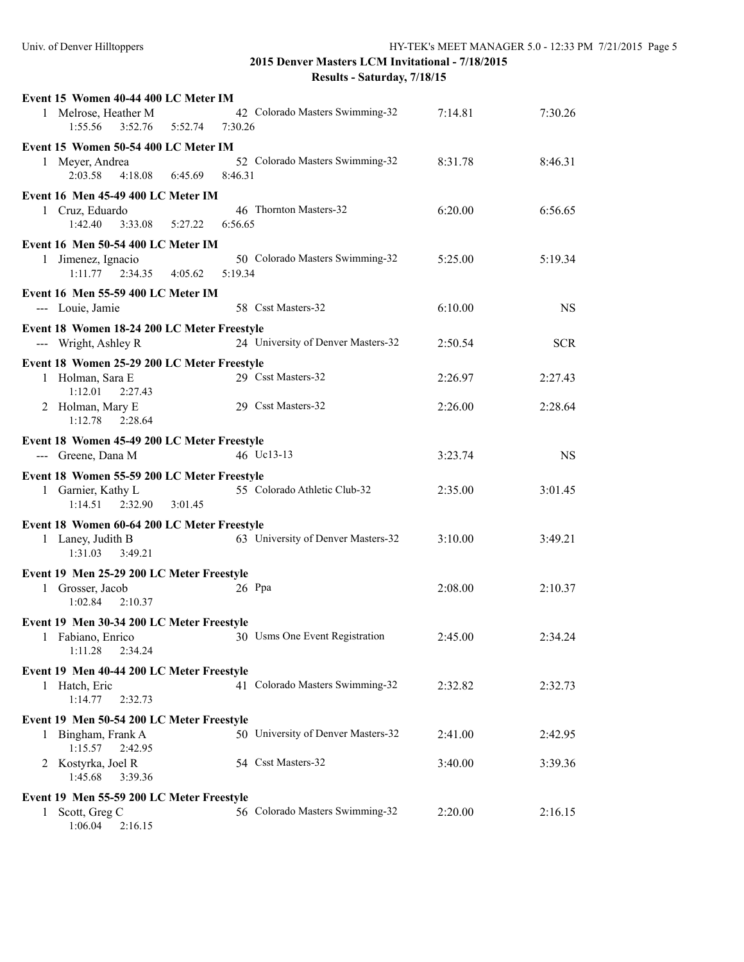| Event 15 Women 40-44 400 LC Meter IM                              |                                            |         |            |
|-------------------------------------------------------------------|--------------------------------------------|---------|------------|
| 1 Melrose, Heather M<br>1:55.56<br>3:52.76<br>5:52.74             | 42 Colorado Masters Swimming-32<br>7:30.26 | 7:14.81 | 7:30.26    |
| Event 15 Women 50-54 400 LC Meter IM                              |                                            |         |            |
| 1 Meyer, Andrea                                                   | 52 Colorado Masters Swimming-32            | 8:31.78 | 8:46.31    |
| 2:03.58<br>4:18.08                                                | 6:45.69<br>8:46.31                         |         |            |
| Event 16 Men 45-49 400 LC Meter IM                                |                                            |         |            |
| 1 Cruz, Eduardo                                                   | 46 Thornton Masters-32                     | 6:20.00 | 6:56.65    |
| 1:42.40<br>$3:33.08$ $5:27.22$                                    | 6:56.65                                    |         |            |
| Event 16 Men 50-54 400 LC Meter IM                                |                                            |         |            |
| 1 Jimenez, Ignacio                                                | 50 Colorado Masters Swimming-32            | 5:25.00 | 5:19.34    |
| $1:11.77$ $2:34.35$ $4:05.62$                                     | 5:19.34                                    |         |            |
|                                                                   |                                            |         |            |
| Event 16 Men 55-59 400 LC Meter IM                                |                                            |         |            |
| --- Louie, Jamie                                                  | 58 Csst Masters-32                         | 6:10.00 | <b>NS</b>  |
| Event 18 Women 18-24 200 LC Meter Freestyle                       |                                            |         |            |
| --- Wright, Ashley R                                              | 24 University of Denver Masters-32         | 2:50.54 | <b>SCR</b> |
| Event 18 Women 25-29 200 LC Meter Freestyle                       |                                            |         |            |
| 1 Holman, Sara E                                                  | 29 Csst Masters-32                         | 2:26.97 | 2:27.43    |
| 1:12.01<br>2:27.43                                                |                                            |         |            |
| 2 Holman, Mary E                                                  | 29 Csst Masters-32                         | 2:26.00 | 2:28.64    |
| 1:12.78<br>2:28.64                                                |                                            |         |            |
|                                                                   |                                            |         |            |
| Event 18 Women 45-49 200 LC Meter Freestyle<br>--- Greene, Dana M | 46 Uc13-13                                 | 3:23.74 | <b>NS</b>  |
|                                                                   |                                            |         |            |
|                                                                   |                                            |         |            |
| Event 18 Women 55-59 200 LC Meter Freestyle                       |                                            |         |            |
| 1 Garnier, Kathy L                                                | 55 Colorado Athletic Club-32               | 2:35.00 | 3:01.45    |
| 1:14.51<br>2:32.90<br>3:01.45                                     |                                            |         |            |
| Event 18 Women 60-64 200 LC Meter Freestyle                       |                                            |         |            |
| 1 Laney, Judith B                                                 | 63 University of Denver Masters-32         | 3:10.00 | 3:49.21    |
| 1:31.03<br>3:49.21                                                |                                            |         |            |
|                                                                   |                                            |         |            |
| Event 19 Men 25-29 200 LC Meter Freestyle                         | $26$ Ppa                                   | 2:08.00 | 2:10.37    |
| 1 Grosser, Jacob<br>1:02.84<br>2:10.37                            |                                            |         |            |
|                                                                   |                                            |         |            |
| Event 19 Men 30-34 200 LC Meter Freestyle                         |                                            |         |            |
| 1 Fabiano, Enrico                                                 | 30 Usms One Event Registration             | 2:45.00 | 2:34.24    |
| 1:11.28<br>2:34.24                                                |                                            |         |            |
| Event 19 Men 40-44 200 LC Meter Freestyle                         |                                            |         |            |
| 1 Hatch, Eric                                                     | 41 Colorado Masters Swimming-32            | 2:32.82 | 2:32.73    |
| 1:14.77<br>2:32.73                                                |                                            |         |            |
| Event 19 Men 50-54 200 LC Meter Freestyle                         |                                            |         |            |
| 1 Bingham, Frank A                                                | 50 University of Denver Masters-32         | 2:41.00 | 2:42.95    |
| 1:15.57<br>2:42.95                                                |                                            |         |            |
| 2 Kostyrka, Joel R                                                | 54 Csst Masters-32                         | 3:40.00 | 3:39.36    |
| 1:45.68<br>3:39.36                                                |                                            |         |            |
| Event 19 Men 55-59 200 LC Meter Freestyle                         |                                            |         |            |
| Scott, Greg C<br>1<br>1:06.04<br>2:16.15                          | 56 Colorado Masters Swimming-32            | 2:20.00 | 2:16.15    |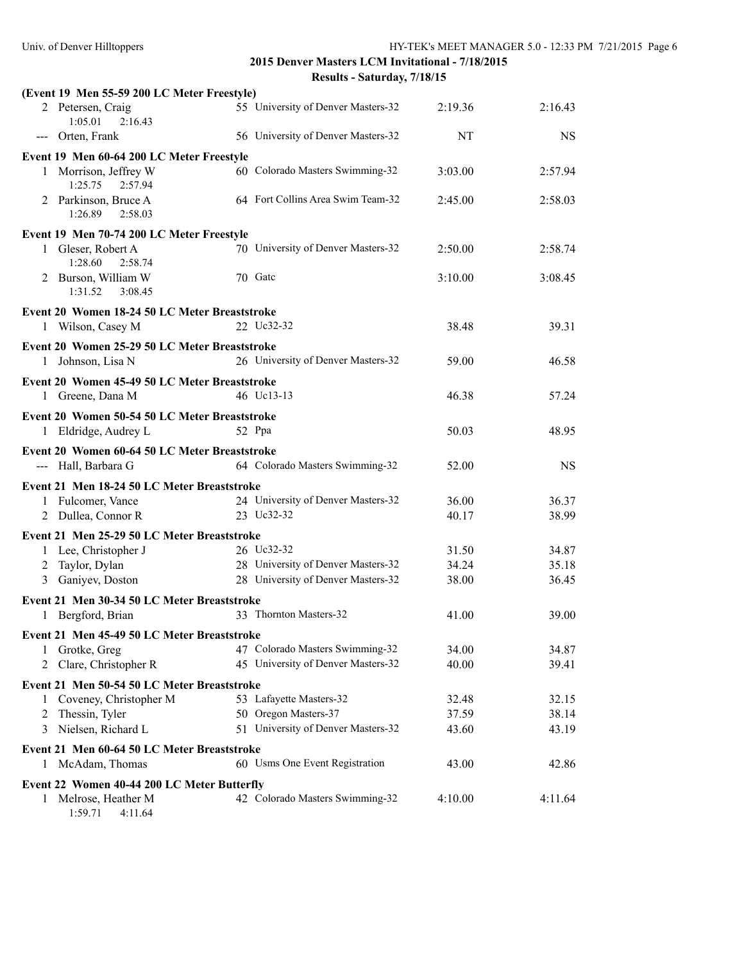|  | ults - Saturday, 7/18/15 |  |  |  |  |
|--|--------------------------|--|--|--|--|
|--|--------------------------|--|--|--|--|

|              | (Event 19 Men 55-59 200 LC Meter Freestyle)   |                                    |         |           |
|--------------|-----------------------------------------------|------------------------------------|---------|-----------|
|              | 2 Petersen, Craig<br>1:05.01<br>2:16.43       | 55 University of Denver Masters-32 | 2:19.36 | 2:16.43   |
|              | --- Orten, Frank                              | 56 University of Denver Masters-32 | NT      | <b>NS</b> |
|              | Event 19 Men 60-64 200 LC Meter Freestyle     |                                    |         |           |
|              | 1 Morrison, Jeffrey W<br>1:25.75<br>2:57.94   | 60 Colorado Masters Swimming-32    | 3:03.00 | 2:57.94   |
|              | 2 Parkinson, Bruce A<br>1:26.89<br>2:58.03    | 64 Fort Collins Area Swim Team-32  | 2:45.00 | 2:58.03   |
|              | Event 19 Men 70-74 200 LC Meter Freestyle     |                                    |         |           |
|              | 1 Gleser, Robert A<br>1:28.60<br>2:58.74      | 70 University of Denver Masters-32 | 2:50.00 | 2:58.74   |
|              | 2 Burson, William W<br>3:08.45<br>1:31.52     | 70 Gatc                            | 3:10.00 | 3:08.45   |
|              | Event 20 Women 18-24 50 LC Meter Breaststroke |                                    |         |           |
|              | 1 Wilson, Casey M                             | 22 Uc32-32                         | 38.48   | 39.31     |
|              | Event 20 Women 25-29 50 LC Meter Breaststroke |                                    |         |           |
|              | 1 Johnson, Lisa N                             | 26 University of Denver Masters-32 | 59.00   | 46.58     |
|              | Event 20 Women 45-49 50 LC Meter Breaststroke |                                    |         |           |
|              | 1 Greene, Dana M                              | 46 Uc13-13                         | 46.38   | 57.24     |
|              | Event 20 Women 50-54 50 LC Meter Breaststroke |                                    |         |           |
|              | 1 Eldridge, Audrey L                          | 52 Ppa                             | 50.03   | 48.95     |
|              | Event 20 Women 60-64 50 LC Meter Breaststroke |                                    |         |           |
|              | --- Hall, Barbara G                           | 64 Colorado Masters Swimming-32    | 52.00   | <b>NS</b> |
|              | Event 21 Men 18-24 50 LC Meter Breaststroke   |                                    |         |           |
|              | 1 Fulcomer, Vance                             | 24 University of Denver Masters-32 | 36.00   | 36.37     |
|              | 2 Dullea, Connor R                            | 23 Uc32-32                         | 40.17   | 38.99     |
|              | Event 21 Men 25-29 50 LC Meter Breaststroke   |                                    |         |           |
|              | 1 Lee, Christopher J                          | 26 Uc32-32                         | 31.50   | 34.87     |
| 2            | Taylor, Dylan                                 | 28 University of Denver Masters-32 | 34.24   | 35.18     |
| 3            | Ganiyev, Doston                               | 28 University of Denver Masters-32 | 38.00   | 36.45     |
|              | Event 21 Men 30-34 50 LC Meter Breaststroke   |                                    |         |           |
|              | 1 Bergford, Brian                             | 33 Thornton Masters-32             | 41.00   | 39.00     |
|              | Event 21 Men 45-49 50 LC Meter Breaststroke   |                                    |         |           |
|              | 1 Grotke, Greg                                | 47 Colorado Masters Swimming-32    | 34.00   | 34.87     |
| 2            | Clare, Christopher R                          | 45 University of Denver Masters-32 | 40.00   | 39.41     |
|              | Event 21 Men 50-54 50 LC Meter Breaststroke   |                                    |         |           |
| 1            | Coveney, Christopher M                        | 53 Lafayette Masters-32            | 32.48   | 32.15     |
| 2            | Thessin, Tyler                                | 50 Oregon Masters-37               | 37.59   | 38.14     |
| 3            | Nielsen, Richard L                            | 51 University of Denver Masters-32 | 43.60   | 43.19     |
|              | Event 21 Men 60-64 50 LC Meter Breaststroke   |                                    |         |           |
| 1            | McAdam, Thomas                                | 60 Usms One Event Registration     | 43.00   | 42.86     |
|              | Event 22 Women 40-44 200 LC Meter Butterfly   |                                    |         |           |
| $\mathbf{1}$ | Melrose, Heather M<br>1:59.71<br>4:11.64      | 42 Colorado Masters Swimming-32    | 4:10.00 | 4:11.64   |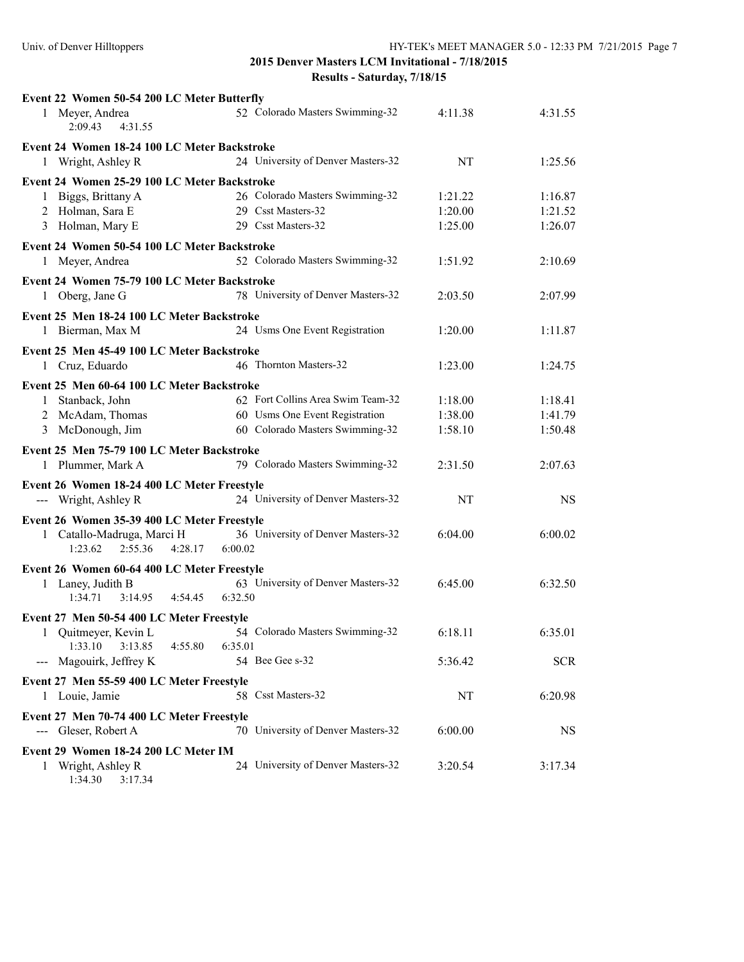| Event 22 Women 50-54 200 LC Meter Butterfly                         |                                    |         |            |
|---------------------------------------------------------------------|------------------------------------|---------|------------|
| 1 Meyer, Andrea<br>2:09.43<br>4:31.55                               | 52 Colorado Masters Swimming-32    | 4:11.38 | 4:31.55    |
| Event 24 Women 18-24 100 LC Meter Backstroke                        |                                    |         |            |
| 1 Wright, Ashley R                                                  | 24 University of Denver Masters-32 | NT      | 1:25.56    |
| Event 24 Women 25-29 100 LC Meter Backstroke                        |                                    |         |            |
| 1 Biggs, Brittany A                                                 | 26 Colorado Masters Swimming-32    | 1:21.22 | 1:16.87    |
| 2 Holman, Sara E                                                    | 29 Csst Masters-32                 | 1:20.00 | 1:21.52    |
| 3 Holman, Mary E                                                    | 29 Csst Masters-32                 | 1:25.00 | 1:26.07    |
| Event 24 Women 50-54 100 LC Meter Backstroke                        |                                    |         |            |
| 1 Meyer, Andrea                                                     | 52 Colorado Masters Swimming-32    | 1:51.92 | 2:10.69    |
|                                                                     |                                    |         |            |
| Event 24 Women 75-79 100 LC Meter Backstroke                        | 78 University of Denver Masters-32 | 2:03.50 | 2:07.99    |
| 1 Oberg, Jane G                                                     |                                    |         |            |
| Event 25 Men 18-24 100 LC Meter Backstroke                          |                                    |         |            |
| 1 Bierman, Max M                                                    | 24 Usms One Event Registration     | 1:20.00 | 1:11.87    |
| Event 25 Men 45-49 100 LC Meter Backstroke                          |                                    |         |            |
| 1 Cruz, Eduardo                                                     | 46 Thornton Masters-32             | 1:23.00 | 1:24.75    |
| Event 25 Men 60-64 100 LC Meter Backstroke                          |                                    |         |            |
| 1 Stanback, John                                                    | 62 Fort Collins Area Swim Team-32  | 1:18.00 | 1:18.41    |
| 2 McAdam, Thomas                                                    | 60 Usms One Event Registration     | 1:38.00 | 1:41.79    |
| 3 McDonough, Jim                                                    | 60 Colorado Masters Swimming-32    | 1:58.10 | 1:50.48    |
| Event 25 Men 75-79 100 LC Meter Backstroke                          |                                    |         |            |
| 1 Plummer, Mark A                                                   | 79 Colorado Masters Swimming-32    | 2:31.50 | 2:07.63    |
|                                                                     |                                    |         |            |
| Event 26 Women 18-24 400 LC Meter Freestyle<br>--- Wright, Ashley R | 24 University of Denver Masters-32 | NT      | <b>NS</b>  |
|                                                                     |                                    |         |            |
| Event 26 Women 35-39 400 LC Meter Freestyle                         |                                    |         |            |
| 1 Catallo-Madruga, Marci H                                          | 36 University of Denver Masters-32 | 6:04.00 | 6:00.02    |
| 2:55.36<br>1:23.62<br>4:28.17 6:00.02                               |                                    |         |            |
| Event 26 Women 60-64 400 LC Meter Freestyle                         |                                    |         |            |
| 1 Laney, Judith B                                                   | 63 University of Denver Masters-32 | 6:45.00 | 6:32.50    |
| 1:34.71<br>$3:14.95$ $4:54.45$                                      | 6:32.50                            |         |            |
| Event 27 Men 50-54 400 LC Meter Freestyle                           |                                    |         |            |
| 1 Quitmeyer, Kevin L                                                | 54 Colorado Masters Swimming-32    | 6:18.11 | 6:35.01    |
| 1:33.10<br>3:13.85<br>4:55.80                                       | 6:35.01                            |         |            |
| --- Magouirk, Jeffrey K                                             | 54 Bee Gee s-32                    | 5:36.42 | <b>SCR</b> |
| Event 27 Men 55-59 400 LC Meter Freestyle                           |                                    |         |            |
| 1 Louie, Jamie                                                      | 58 Csst Masters-32                 | NT      | 6:20.98    |
| Event 27 Men 70-74 400 LC Meter Freestyle                           |                                    |         |            |
| --- Gleser, Robert A                                                | 70 University of Denver Masters-32 | 6:00.00 | NS         |
| Event 29 Women 18-24 200 LC Meter IM                                |                                    |         |            |
|                                                                     |                                    |         |            |
| Wright, Ashley R<br>1                                               | 24 University of Denver Masters-32 | 3:20.54 | 3:17.34    |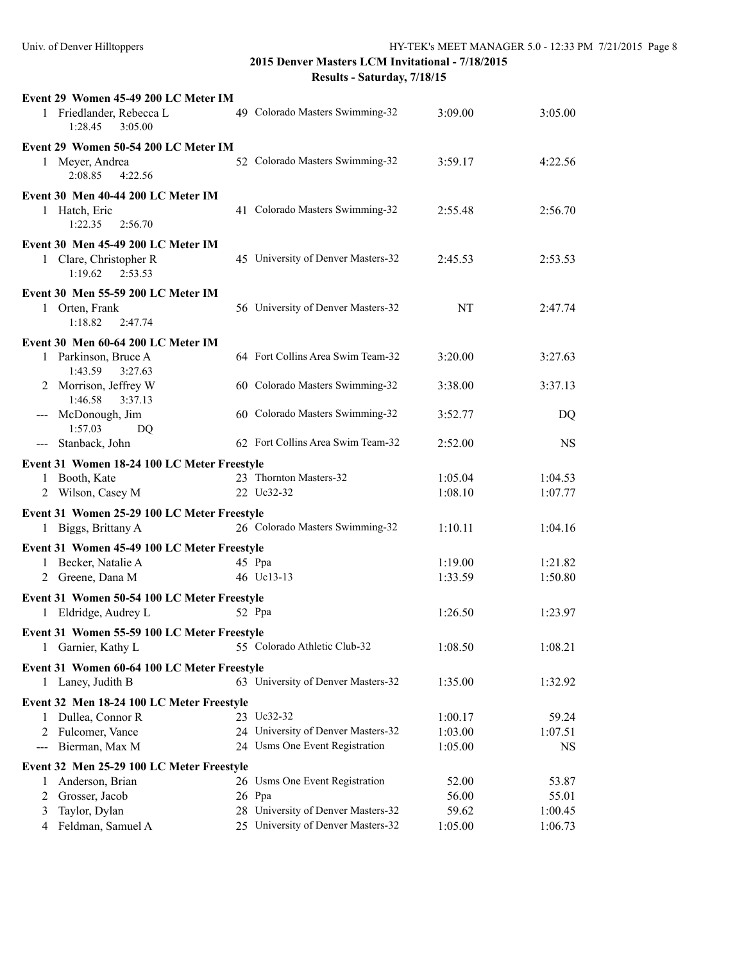| Event 29 Women 45-49 200 LC Meter IM           |                                    |         |           |
|------------------------------------------------|------------------------------------|---------|-----------|
| 1 Friedlander, Rebecca L<br>3:05.00<br>1:28.45 | 49 Colorado Masters Swimming-32    | 3:09.00 | 3:05.00   |
| Event 29 Women 50-54 200 LC Meter IM           |                                    |         |           |
| 1 Meyer, Andrea<br>2:08.85<br>4:22.56          | 52 Colorado Masters Swimming-32    | 3:59.17 | 4:22.56   |
| Event 30 Men 40-44 200 LC Meter IM             |                                    |         |           |
| 1 Hatch, Eric<br>1:22.35<br>2:56.70            | 41 Colorado Masters Swimming-32    | 2:55.48 | 2:56.70   |
| Event 30 Men 45-49 200 LC Meter IM             |                                    |         |           |
| 1 Clare, Christopher R<br>1:19.62<br>2:53.53   | 45 University of Denver Masters-32 | 2:45.53 | 2:53.53   |
| Event 30 Men 55-59 200 LC Meter IM             |                                    |         |           |
| 1 Orten, Frank<br>1:18.82<br>2:47.74           | 56 University of Denver Masters-32 | NT      | 2:47.74   |
| Event 30 Men 60-64 200 LC Meter IM             |                                    |         |           |
| 1 Parkinson, Bruce A<br>3:27.63<br>1:43.59     | 64 Fort Collins Area Swim Team-32  | 3:20.00 | 3:27.63   |
| 2 Morrison, Jeffrey W<br>1:46.58<br>3:37.13    | 60 Colorado Masters Swimming-32    | 3:38.00 | 3:37.13   |
| --- McDonough, Jim<br>1:57.03<br>DQ            | 60 Colorado Masters Swimming-32    | 3:52.77 | DQ        |
| --- Stanback, John                             | 62 Fort Collins Area Swim Team-32  | 2:52.00 | <b>NS</b> |
| Event 31 Women 18-24 100 LC Meter Freestyle    |                                    |         |           |
| 1 Booth, Kate                                  | 23 Thornton Masters-32             | 1:05.04 | 1:04.53   |
| 2 Wilson, Casey M                              | 22 Uc32-32                         | 1:08.10 | 1:07.77   |
|                                                |                                    |         |           |
| Event 31 Women 25-29 100 LC Meter Freestyle    |                                    |         |           |
|                                                |                                    |         |           |
| 1 Biggs, Brittany A                            | 26 Colorado Masters Swimming-32    | 1:10.11 | 1:04.16   |
| Event 31 Women 45-49 100 LC Meter Freestyle    |                                    |         |           |
| Becker, Natalie A<br>1                         | 45 Ppa                             | 1:19.00 | 1:21.82   |
| 2 Greene, Dana M                               | 46 Uc13-13                         | 1:33.59 | 1:50.80   |
| Event 31 Women 50-54 100 LC Meter Freestyle    |                                    |         |           |
| Eldridge, Audrey L<br>1                        | 52 Ppa                             | 1:26.50 | 1:23.97   |
|                                                |                                    |         |           |
| Event 31 Women 55-59 100 LC Meter Freestyle    |                                    |         |           |
| 1 Garnier, Kathy L                             | 55 Colorado Athletic Club-32       | 1:08.50 | 1:08.21   |
| Event 31 Women 60-64 100 LC Meter Freestyle    |                                    |         |           |
| 1 Laney, Judith B                              | 63 University of Denver Masters-32 | 1:35.00 | 1:32.92   |
| Event 32 Men 18-24 100 LC Meter Freestyle      |                                    |         |           |
| Dullea, Connor R<br>1                          | 23 Uc32-32                         | 1:00.17 | 59.24     |
| Fulcomer, Vance<br>2                           | 24 University of Denver Masters-32 | 1:03.00 | 1:07.51   |
| Bierman, Max M<br>---                          | 24 Usms One Event Registration     | 1:05.00 | NS        |
| Event 32 Men 25-29 100 LC Meter Freestyle      |                                    |         |           |
| Anderson, Brian<br>1                           | 26 Usms One Event Registration     | 52.00   | 53.87     |
| Grosser, Jacob<br>2                            | 26 Ppa                             | 56.00   | 55.01     |
| 3<br>Taylor, Dylan                             | 28 University of Denver Masters-32 | 59.62   | 1:00.45   |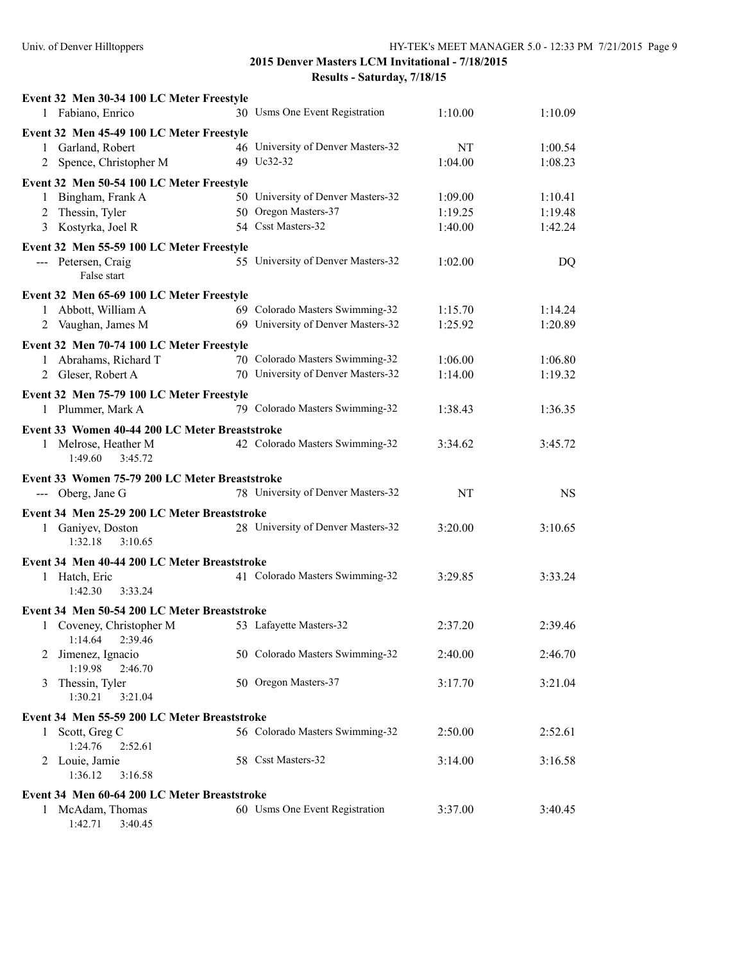|              | Event 32 Men 30-34 100 LC Meter Freestyle                      |                                    |         |           |
|--------------|----------------------------------------------------------------|------------------------------------|---------|-----------|
|              | 1 Fabiano, Enrico                                              | 30 Usms One Event Registration     | 1:10.00 | 1:10.09   |
|              | Event 32 Men 45-49 100 LC Meter Freestyle<br>1 Garland, Robert | 46 University of Denver Masters-32 | NT      | 1:00.54   |
|              | 2 Spence, Christopher M                                        | 49 Uc32-32                         | 1:04.00 | 1:08.23   |
|              | Event 32 Men 50-54 100 LC Meter Freestyle                      |                                    |         |           |
| 1            | Bingham, Frank A                                               | 50 University of Denver Masters-32 | 1:09.00 | 1:10.41   |
|              | 2 Thessin, Tyler                                               | 50 Oregon Masters-37               | 1:19.25 | 1:19.48   |
|              | 3 Kostyrka, Joel R                                             | 54 Csst Masters-32                 | 1:40.00 | 1:42.24   |
|              | Event 32 Men 55-59 100 LC Meter Freestyle                      |                                    |         |           |
|              | --- Petersen, Craig<br>False start                             | 55 University of Denver Masters-32 | 1:02.00 | DQ        |
|              | Event 32 Men 65-69 100 LC Meter Freestyle                      |                                    |         |           |
|              | 1 Abbott, William A                                            | 69 Colorado Masters Swimming-32    | 1:15.70 | 1:14.24   |
|              | 2 Vaughan, James M                                             | 69 University of Denver Masters-32 | 1:25.92 | 1:20.89   |
|              | Event 32 Men 70-74 100 LC Meter Freestyle                      |                                    |         |           |
|              | 1 Abrahams, Richard T                                          | 70 Colorado Masters Swimming-32    | 1:06.00 | 1:06.80   |
|              | 2 Gleser, Robert A                                             | 70 University of Denver Masters-32 | 1:14.00 | 1:19.32   |
|              | Event 32 Men 75-79 100 LC Meter Freestyle                      |                                    |         |           |
|              | 1 Plummer, Mark A                                              | 79 Colorado Masters Swimming-32    | 1:38.43 | 1:36.35   |
|              | Event 33 Women 40-44 200 LC Meter Breaststroke                 |                                    |         |           |
| 1            | Melrose, Heather M<br>3:45.72<br>1:49.60                       | 42 Colorado Masters Swimming-32    | 3:34.62 | 3:45.72   |
|              | Event 33 Women 75-79 200 LC Meter Breaststroke                 |                                    |         |           |
|              | --- Oberg, Jane G                                              | 78 University of Denver Masters-32 | NT      | <b>NS</b> |
|              | Event 34 Men 25-29 200 LC Meter Breaststroke                   |                                    |         |           |
|              | 1 Ganiyev, Doston<br>1:32.18<br>3:10.65                        | 28 University of Denver Masters-32 | 3:20.00 | 3:10.65   |
|              | Event 34 Men 40-44 200 LC Meter Breaststroke                   |                                    |         |           |
|              | 1 Hatch, Eric<br>1:42.30<br>3:33.24                            | 41 Colorado Masters Swimming-32    | 3:29.85 | 3:33.24   |
|              | Event 34 Men 50-54 200 LC Meter Breaststroke                   |                                    |         |           |
| 1            | Coveney, Christopher M<br>1:14.64<br>2:39.46                   | 53 Lafayette Masters-32            | 2:37.20 | 2:39.46   |
| 2            | Jimenez, Ignacio<br>1:19.98<br>2:46.70                         | 50 Colorado Masters Swimming-32    | 2:40.00 | 2:46.70   |
| 3            | Thessin, Tyler<br>1:30.21<br>3:21.04                           | 50 Oregon Masters-37               | 3:17.70 | 3:21.04   |
|              | Event 34 Men 55-59 200 LC Meter Breaststroke                   |                                    |         |           |
| $\mathbf{1}$ | Scott, Greg C<br>1:24.76<br>2:52.61                            | 56 Colorado Masters Swimming-32    | 2:50.00 | 2:52.61   |
|              | 2 Louie, Jamie<br>1:36.12<br>3:16.58                           | 58 Csst Masters-32                 | 3:14.00 | 3:16.58   |
|              | Event 34 Men 60-64 200 LC Meter Breaststroke                   |                                    |         |           |
|              | 1 McAdam, Thomas                                               | 60 Usms One Event Registration     | 3:37.00 | 3:40.45   |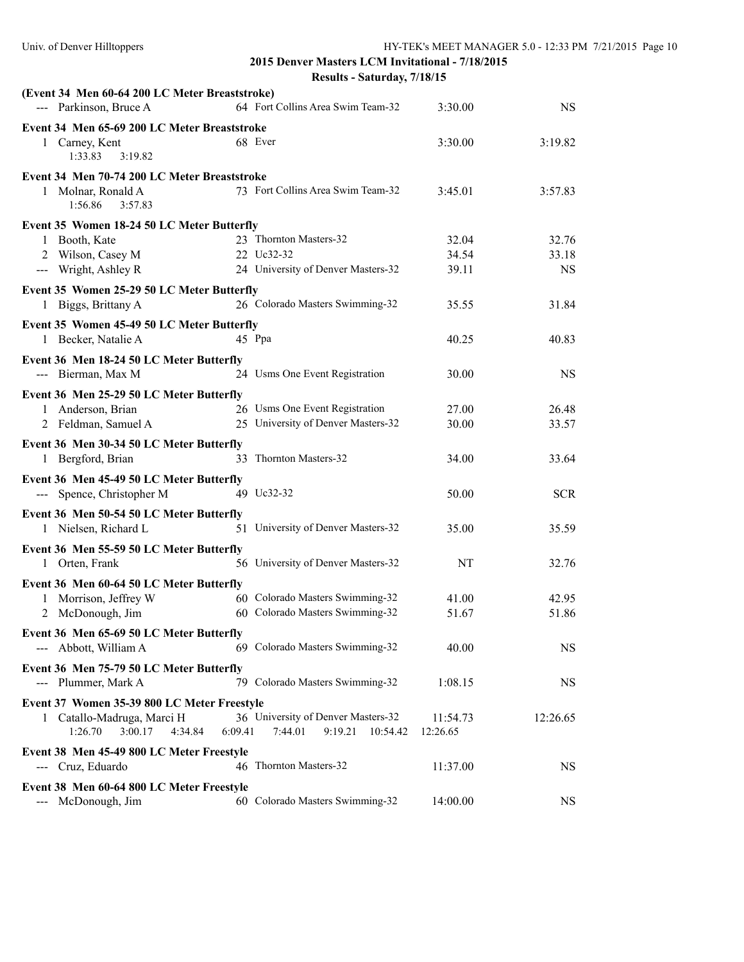| (Event 34 Men 60-64 200 LC Meter Breaststroke) |                                           |          |            |
|------------------------------------------------|-------------------------------------------|----------|------------|
| --- Parkinson, Bruce A                         | 64 Fort Collins Area Swim Team-32         | 3:30.00  | <b>NS</b>  |
| Event 34 Men 65-69 200 LC Meter Breaststroke   |                                           |          |            |
| 1 Carney, Kent<br>1:33.83<br>3:19.82           | 68 Ever                                   | 3:30.00  | 3:19.82    |
|                                                |                                           |          |            |
| Event 34 Men 70-74 200 LC Meter Breaststroke   |                                           |          |            |
| 1 Molnar, Ronald A<br>3:57.83<br>1:56.86       | 73 Fort Collins Area Swim Team-32         | 3:45.01  | 3:57.83    |
| Event 35 Women 18-24 50 LC Meter Butterfly     |                                           |          |            |
| 1 Booth, Kate                                  | 23 Thornton Masters-32                    | 32.04    | 32.76      |
| 2 Wilson, Casey M                              | 22 Uc32-32                                | 34.54    | 33.18      |
| --- Wright, Ashley R                           | 24 University of Denver Masters-32        | 39.11    | <b>NS</b>  |
| Event 35 Women 25-29 50 LC Meter Butterfly     |                                           |          |            |
| 1 Biggs, Brittany A                            | 26 Colorado Masters Swimming-32           | 35.55    | 31.84      |
| Event 35 Women 45-49 50 LC Meter Butterfly     |                                           |          |            |
| 1 Becker, Natalie A                            | 45 Ppa                                    | 40.25    | 40.83      |
| Event 36 Men 18-24 50 LC Meter Butterfly       |                                           |          |            |
| --- Bierman, Max M                             | 24 Usms One Event Registration            | 30.00    | <b>NS</b>  |
| Event 36 Men 25-29 50 LC Meter Butterfly       |                                           |          |            |
| 1 Anderson, Brian                              | 26 Usms One Event Registration            | 27.00    | 26.48      |
| 2 Feldman, Samuel A                            | 25 University of Denver Masters-32        | 30.00    | 33.57      |
|                                                |                                           |          |            |
| Event 36 Men 30-34 50 LC Meter Butterfly       |                                           |          |            |
| 1 Bergford, Brian                              | 33 Thornton Masters-32                    | 34.00    | 33.64      |
| Event 36 Men 45-49 50 LC Meter Butterfly       |                                           |          |            |
| --- Spence, Christopher M                      | 49 Uc32-32                                | 50.00    | <b>SCR</b> |
| Event 36 Men 50-54 50 LC Meter Butterfly       |                                           |          |            |
| 1 Nielsen, Richard L                           | 51 University of Denver Masters-32        | 35.00    | 35.59      |
| Event 36 Men 55-59 50 LC Meter Butterfly       |                                           |          |            |
| 1 Orten, Frank                                 | 56 University of Denver Masters-32        | NT       | 32.76      |
| Event 36 Men 60-64 50 LC Meter Butterfly       |                                           |          |            |
| 1 Morrison, Jeffrey W                          | 60 Colorado Masters Swimming-32           | 41.00    | 42.95      |
| 2 McDonough, Jim                               | 60 Colorado Masters Swimming-32           | 51.67    | 51.86      |
| Event 36 Men 65-69 50 LC Meter Butterfly       |                                           |          |            |
| --- Abbott, William A                          | 69 Colorado Masters Swimming-32           | 40.00    | <b>NS</b>  |
|                                                |                                           |          |            |
| Event 36 Men 75-79 50 LC Meter Butterfly       |                                           |          |            |
| --- Plummer, Mark A                            | 79 Colorado Masters Swimming-32           | 1:08.15  | <b>NS</b>  |
| Event 37 Women 35-39 800 LC Meter Freestyle    |                                           |          |            |
| 1 Catallo-Madruga, Marci H                     | 36 University of Denver Masters-32        | 11:54.73 | 12:26.65   |
| 1:26.70<br>3:00.17<br>4:34.84                  | 6:09.41<br>7:44.01<br>9:19.21<br>10:54.42 | 12:26.65 |            |
| Event 38 Men 45-49 800 LC Meter Freestyle      |                                           |          |            |
| --- Cruz, Eduardo                              | 46 Thornton Masters-32                    | 11:37.00 | <b>NS</b>  |
| Event 38 Men 60-64 800 LC Meter Freestyle      |                                           |          |            |
| --- McDonough, Jim                             | 60 Colorado Masters Swimming-32           | 14:00.00 | NS.        |